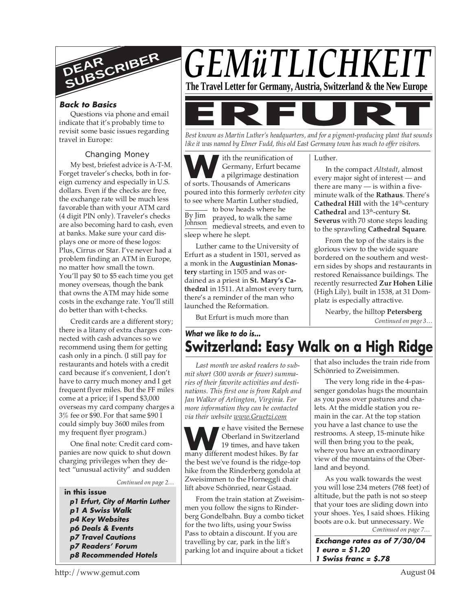

## **Back to Basics**

Questions via phone and email indicate that it's probably time to revisit some basic issues regarding travel in Europe:

## Changing Money

My best, briefest advice is A-T-M. Forget traveler's checks, both in foreign currency and especially in U.S. dollars. Even if the checks are free, the exchange rate will be much less favorable than with your ATM card (4 digit PIN only). Traveler's checks are also becoming hard to cash, even at banks. Make sure your card displays one or more of these logos: Plus, Cirrus or Star. I've never had a problem finding an ATM in Europe, no matter how small the town. You'll pay \$0 to \$5 each time you get money overseas, though the bank that owns the ATM may hide some costs in the exchange rate. You'll still do better than with t-checks.

Credit cards are a different story; there is a litany of extra charges connected with cash advances so we recommend using them for getting cash only in a pinch. (I still pay for restaurants and hotels with a credit card because it's convenient, I don't have to carry much money and I get frequent flyer miles. But the FF miles come at a price; if I spend \$3,000 overseas my card company charges a 3% fee or \$90. For that same \$90 I could simply buy 3600 miles from my frequent flyer program.)

One final note: Credit card companies are now quick to shut down charging privileges when they detect "unusual activity" and sudden

#### *Continued on page 2…*

**in this issue p1 Erfurt, City of Martin Luther p1 A Swiss Walk p4 Key Websites p6 Deals & Events p7 Travel Cautions p7 Readers' Forum p8 Recommended Hotels**



*Best known as Martin Luther's headquarters, and for a pigment-producing plant that sounds like it was named by Elmer Fudd, this old East Germany town has much to offer visitors.*

ith the reunification of

Luther.

**W SECONDITE:** Sermany, Erfurt beca<br>
a pilgrimage destination<br>
of sorts. Thousands of Americans Johnson medieval streets, and even to Germany, Erfurt became a pilgrimage destination poured into this formerly *verboten* city to see where Martin Luther studied, to bow heads where he prayed, to walk the same In the compact *Altstadt*, almost every major sight of interest — and there are many  $-$  is within a fiveminute walk of the **Rathaus**. There's **Cathedral Hill** with the 14<sup>th</sup>-century **Cathedral** and 13th-century **St. Severus** with 70 stone steps leading

Luther came to the University of Erfurt as a student in 1501, served as a monk in the **Augustinian Monas**dained as a priest in **St. Mary's Cathedral** in 1511. At almost every turn, to the sprawling **Cathedral Square**. From the top of the stairs is the glorious view to the wide square bordered on the southern and western sides by shops and restaurants in restored Renaissance buildings. The recently resurrected **Zur Hohen Lilie**

> *Continued on page 3…* Nearby, the hilltop **Petersberg**

(High Lily), built in 1538, at 31 Dom-

platz is especially attractive.

# **What we like to do is... Switzerland: Easy Walk on a High Ridge**

*Last month we asked readers to submit short (300 words or fewer) summaries of their favorite activities and destinations. This first one is from Ralph and Jan Walker of Arlington, Virginia. For more information they can be contacted via their website www.Gruetzi.com*

By Jim

sleep where he slept.

**tery** starting in 1505 and was or-

there's a reminder of the man who

But Erfurt is much more than

launched the Reformation.

**WE A HOT CONSIDER THE SET OF START OF START AND A HOT CONSIDER THE MANUSCRIPT OF START AND RELATION AND RELATION** SUPPORT AND THE MANUSCRIPT OF START AND THE MANUSCRIPT OF START AND THE MANUSCRIPT OF START AND RELATION AN e have visited the Bernese Oberland in Switzerland 19 times, and have taken the best we've found is the ridge-top hike from the Rinderberg gondola at Zweisimmen to the Horneggli chair lift above Schönried, near Gstaad.

From the train station at Zweisimmen you follow the signs to Rinderberg Gondelbahn. Buy a combo ticket for the two lifts, using your Swiss Pass to obtain a discount. If you are travelling by car, park in the lift's parking lot and inquire about a ticket

that also includes the train ride from Schönried to Zweisimmen.

The very long ride in the 4-passenger gondolas hugs the mountain as you pass over pastures and chalets. At the middle station you remain in the car. At the top station you have a last chance to use the restrooms. A steep, 15-minute hike will then bring you to the peak, where you have an extraordinary view of the mountains of the Oberland and beyond.

*Continued on page 7…* As you walk towards the west you will lose 234 meters (768 feet) of altitude, but the path is not so steep that your toes are sliding down into your shoes. Yes, I said shoes. Hiking boots are o.k. but unnecessary. We

**Exchange rates as of 7/30/04 1 euro = \$1.20 1 Swiss franc = \$.78**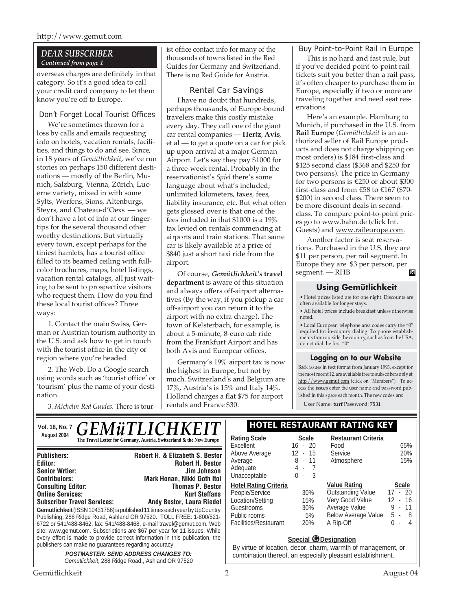# *DEAR SUBSCRIBER Continued from page 1*

overseas charges are definitely in that category. So it's a good idea to call your credit card company to let them know you're off to Europe.

# Don't Forget Local Tourist Offices

We're sometimes thrown for a loss by calls and emails requesting info on hotels, vacation rentals, facilities, and things to do and see. Since, in 18 years of *Gemütlichkeit*, we've run stories on perhaps 150 different destinations — mostly of the Berlin, Munich, Salzburg, Vienna, Zürich, Lucerne variety, mixed in with some Sylts, Werfens, Sions, Altenburgs, Steyrs, and Chateau-d'Oexs — we don't have a lot of info at our fingertips for the several thousand other worthy destinations. But virtually every town, except perhaps for the tiniest hamlets, has a tourist office filled to its beamed ceiling with fullcolor brochures, maps, hotel listings, vacation rental catalogs, all just waiting to be sent to prospective visitors who request them. How do you find these local tourist offices? Three ways:

1. Contact the main Swiss, German or Austrian tourism authority in the U.S. and ask how to get in touch with the tourist office in the city or region where you're headed.

2. The Web. Do a Google search using words such as 'tourist office' or 'tourism' plus the name of your destination.

3. *Michelin Red Guides*. There is tour-

ist office contact info for many of the thousands of towns listed in the Red Guides for Germany and Switzerland. There is no Red Guide for Austria.

# Rental Car Savings

I have no doubt that hundreds, perhaps thousands, of Europe-bound travelers make this costly mistake every day. They call one of the giant car rental companies — **Hertz**, **Avis**, et al — to get a quote on a car for pick up upon arrival at a major German Airport. Let's say they pay \$1000 for a three-week rental. Probably in the reservationist's *Spiel* there's some language about what's included; unlimited kilometers, taxes, fees, liability insurance, etc. But what often gets glossed over is that one of the fees included in that \$1000 is a 19% tax levied on rentals commencing at airports and train stations. That same car is likely available at a price of \$840 just a short taxi ride from the airport.

Of course, *Gemütlichkeit's* **travel department** is aware of this situation and always offers off-airport alternatives (By the way, if you pickup a car off-airport you can return it to the airport with no extra charge). The town of Kelsterbach, for example, is about a 5-minute, 8-euro cab ride from the Frankfurt Airport and has both Avis and Europcar offices.

Germany's 19% airport tax is now the highest in Europe, but not by much. Switzerland's and Belgium are 17%, Austria's is 15% and Italy 14%. Holland charges a flat \$75 for airport rentals and France \$30.

## Buy Point-to-Point Rail in Europe

This is no hard and fast rule, but if you've decided point-to-point rail tickets suit you better than a rail pass, it's often cheaper to purchase them in Europe, especially if two or more are traveling together and need seat reservations.

Here's an example. Hamburg to Munich, if purchased in the U.S. from **Rail Europe** (*Gemütlichkeit* is an authorized seller of Rail Europe products and does not charge shipping on most orders) is \$184 first-class and \$125 second class (\$368 and \$250 for two persons). The price in Germany for two persons is  $\hat{\epsilon}$ 250 or about \$300 first-class and from  $\epsilon$ 58 to  $\epsilon$ 167 (\$70-\$200) in second class. There seem to be more discount deals in secondclass. To compare point-to-point prices go to www.bahn.de (click Int. Guests) and www.raileurope.com.

Another factor is seat reservations. Purchased in the U.S. they are \$11 per person, per rail segment. In Europe they are \$3 per person, per **IN** segment. — RHB

# **Using Gemütlichkeit**

• Hotel prices listed are for one night. Discounts are often available for longer stays.

• All hotel prices include breakfast unless otherwise noted.

• Local European telephone area codes carry the "0" required for in-country dialing. To phone establishments from outside the country, such as from the USA, do not dial the first "0".

## **Logging on to our Website**

Back issues in text format from January 1993, except for the most recent 12, are available free to subscribers only at http://www.gemut.com (click on "Members"). To access the issues enter the user name and password published in this space each month. The new codes are:

User Name: **turf** Password: **7531**

|                                                                                                                                                                                                                                                                                                                       |                                                                                            | Vol. 18, No. 7 $GEM\ddot{u}TLICHKEIT$                                                                                                                                                                                                                                                                             | HOTEL RESTAURANT RATING KEY                                                                                                                                        |                                             |                                                                                                                                |                                                                          |
|-----------------------------------------------------------------------------------------------------------------------------------------------------------------------------------------------------------------------------------------------------------------------------------------------------------------------|--------------------------------------------------------------------------------------------|-------------------------------------------------------------------------------------------------------------------------------------------------------------------------------------------------------------------------------------------------------------------------------------------------------------------|--------------------------------------------------------------------------------------------------------------------------------------------------------------------|---------------------------------------------|--------------------------------------------------------------------------------------------------------------------------------|--------------------------------------------------------------------------|
|                                                                                                                                                                                                                                                                                                                       | August 2004                                                                                | The Travel Letter for Germany, Austria, Switzerland & the New Europe                                                                                                                                                                                                                                              | <b>Rating Scale</b><br>Excellent                                                                                                                                   | <b>Scale</b><br>$16 - 20$                   | <b>Restaurant Criteria</b><br>Food                                                                                             | 65%                                                                      |
| <b>Editor:</b>                                                                                                                                                                                                                                                                                                        | <b>Publishers:</b><br><b>Senior Wrtier:</b><br><b>Contributors:</b>                        | Robert H. & Elizabeth S. Bestor<br><b>Robert H. Bestor</b><br>Jim Johnson<br><b>Mark Honan, Nikki Goth Itoi</b>                                                                                                                                                                                                   | Above Average<br>Average<br>Adequate<br>Unacceptable                                                                                                               | $12 - 15$<br>$8 - 11$<br>$4 - 7$<br>$0 - 3$ | Service<br>Atmosphere                                                                                                          | 20%<br>15%                                                               |
|                                                                                                                                                                                                                                                                                                                       | <b>Consulting Editor:</b><br><b>Online Services:</b><br><b>Subscriber Travel Services:</b> | <b>Thomas P. Bestor</b><br><b>Kurt Steffans</b><br><b>Andy Bestor, Laura Riedel</b><br>Gemütlichkeit (ISSN 10431756) is published 11 times each year by UpCountry<br>Publishing, 288 Ridge Road, Ashland OR 97520. TOLL FREE: 1-800/521-<br>6722 or 541/488-8462, fax: 541/488-8468, e-mail travel@gemut.com. Web | <b>Hotel Rating Criteria</b><br>People/Service<br>Location/Setting<br>Guestrooms<br>Public rooms<br>Facilities/Restaurant                                          | 30%<br>15%<br>30%<br>5%<br>20%              | <b>Value Rating</b><br><b>Outstanding Value</b><br>Very Good Value<br>Average Value<br><b>Below Average Value</b><br>A Rip-Off | <b>Scale</b><br>$17 - 20$<br>$12 - 16$<br>$9 - 11$<br>$5 - 8$<br>$0 - 4$ |
| site: www.gemut.com. Subscriptions are \$67 per year for 11 issues. While<br>every effort is made to provide correct information in this publication, the<br>publishers can make no guarantees regarding accuracy.<br><b>POSTMASTER: SEND ADDRESS CHANGES TO:</b><br>Gemütlichkeit, 288 Ridge Road., Ashland OR 97520 |                                                                                            |                                                                                                                                                                                                                                                                                                                   | <b>Special <i>O</i></b> Designation<br>By virtue of location, decor, charm, warmth of management, or<br>combination thereof, an especially pleasant establishment. |                                             |                                                                                                                                |                                                                          |

### Gemütlichkeit 2 August 04

# **Vol. 18, No. 7 HOTEL RESTAURANT RATING KEY**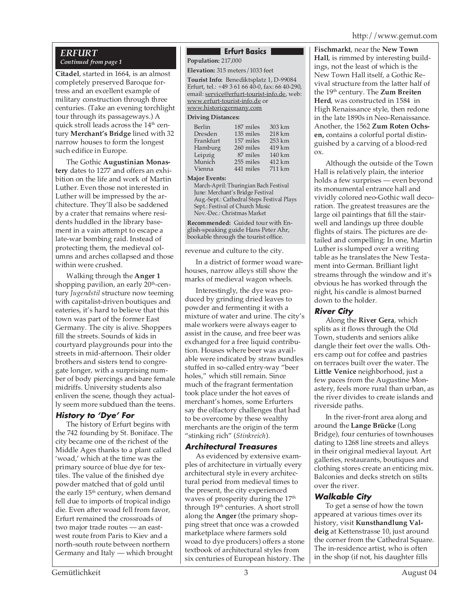# http://www.gemut.com

## *ERFURT Continued from page 1*

**Citadel**, started in 1664, is an almost completely preserved Baroque fortress and an excellent example of military construction through three centuries. (Take an evening torchlight tour through its passageways.) A quick stroll leads across the  $14<sup>th</sup>$  century **Merchant's Bridge** lined with 32 narrow houses to form the longest such edifice in Europe.

The Gothic **Augustinian Monastery** dates to 1277 and offers an exhibition on the life and work of Martin Luther. Even those not interested in Luther will be impressed by the architecture. They'll also be saddened by a crater that remains where residents huddled in the library basement in a vain attempt to escape a late-war bombing raid. Instead of protecting them, the medieval columns and arches collapsed and those within were crushed.

Walking through the **Anger 1** shopping pavilion, an early 20<sup>th</sup>-century *Jugendstil* structure now teeming with capitalist-driven boutiques and eateries, it's hard to believe that this town was part of the former East Germany. The city is alive. Shoppers fill the streets. Sounds of kids in courtyard playgrounds pour into the streets in mid-afternoon. Their older brothers and sisters tend to congregate longer, with a surprising number of body piercings and bare female midriffs. University students also enliven the scene, though they actually seem more subdued than the teens.

# **History to 'Dye' For**

The history of Erfurt begins with the 742 founding by St. Boniface. The city became one of the richest of the Middle Ages thanks to a plant called 'woad,' which at the time was the primary source of blue dye for textiles. The value of the finished dye powder matched that of gold until the early 15<sup>th</sup> century, when demand fell due to imports of tropical indigo die. Even after woad fell from favor, Erfurt remained the crossroads of two major trade routes — an eastwest route from Paris to Kiev and a north-south route between northern Germany and Italy — which brought

# **Erfurt Basics**

**Population:** 217,000

**Elevation:** 315 meters/1033 feet

**Tourist Info:** Benediktsplatz 1, D-99084 Erfurt, tel.: +49 3 61 66 40-0, fax: 66 40-290, email: service@erfurt-tourist-info.de, web: www.erfurt-tourist-info.de or www.historicgermany.com

#### **Driving Distances:**

| 303 km |
|--------|
| 218 km |
| 253 km |
| 419 km |
| 140 km |
| 412 km |
| 711 km |
|        |

#### **Major Events:**

March-April: Thuringian Bach Festival June: Merchant's Bridge Festival Aug.-Sept.: Cathedral Steps Festival Plays Sept.: Festival of Church Music Nov.-Dec.: Christmas Market

**Recommended:** Guided tour with English-speaking guide Hans Peter Ahr, bookable through the tourist office.

revenue and culture to the city.

In a district of former woad warehouses, narrow alleys still show the marks of medieval wagon wheels.

Interestingly, the dye was produced by grinding dried leaves to powder and fermenting it with a mixture of water and urine. The city's male workers were always eager to assist in the cause, and free beer was exchanged for a free liquid contribution. Houses where beer was available were indicated by straw bundles stuffed in so-called entry-way "beer holes," which still remain. Since much of the fragrant fermentation took place under the hot eaves of merchant's homes, some Erfurters say the olfactory challenges that had to be overcome by these wealthy merchants are the origin of the term "stinking rich" (*Stinkreich*).

# **Architectural Treasures**

As evidenced by extensive examples of architecture in virtually every architectural style in every architectural period from medieval times to the present, the city experienced waves of prosperity during the 17<sup>th</sup> through 19<sup>th</sup> centuries. A short stroll along the **Anger** (the primary shopping street that once was a crowded marketplace where farmers sold woad to dye producers) offers a stone textbook of architectural styles from six centuries of European history. The **Fischmarkt**, near the **New Town Hall**, is rimmed by interesting buildings, not the least of which is the New Town Hall itself, a Gothic Revival structure from the latter half of the 19th century. The **Zum Breiten Herd**, was constructed in 1584 in High Renaissance style, then redone in the late 1890s in Neo-Renaissance. Another, the 1562 **Zum Roten Ochsen,** contains a colorful portal distinguished by a carving of a blood-red ox.

Although the outside of the Town Hall is relatively plain, the interior holds a few surprises — even beyond its monumental entrance hall and vividly colored neo-Gothic wall decoration. The greatest treasures are the large oil paintings that fill the stairwell and landings up three double flights of stairs. The pictures are detailed and compelling: In one, Martin Luther is slumped over a writing table as he translates the New Testament into German. Brilliant light streams through the window and it's obvious he has worked through the night, his candle is almost burned down to the holder.

# **River City**

Along the **River Gera**, which splits as it flows through the Old Town, students and seniors alike dangle their feet over the walls. Others camp out for coffee and pastries on terraces built over the water. The **Little Venice** neighborhood, just a few paces from the Augustine Monastery, feels more rural than urban, as the river divides to create islands and riverside paths.

In the river-front area along and around the **Lange Brücke** (Long Bridge), four centuries of townhouses dating to 1268 line streets and alleys in their original medieval layout. Art galleries, restaurants, boutiques and clothing stores create an enticing mix. Balconies and decks stretch on stilts over the river.

# **Walkable City**

To get a sense of how the town appeared at various times over its history, visit **Kunsthandlung Valdeig** at Kettenstrasse 10, just around the corner from the Cathedral Square. The in-residence artist, who is often in the shop (if not, his daughter fills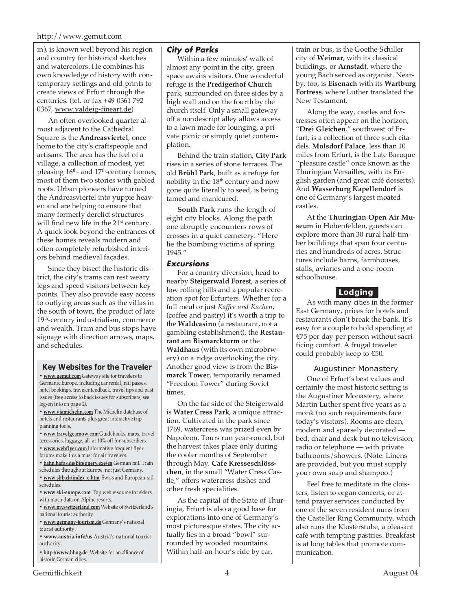### http://www.gemut.com

in), is known well beyond his region and country for historical sketches and watercolors. He combines his own knowledge of history with contemporary settings and old prints to create views of Erfurt through the centuries. (tel. or fax +49 0361 792 0367, www.valdeig-fineart.de)

An often overlooked quarter almost adjacent to the Cathedral Square is the **Andreasviertel**, once home to the city's craftspeople and artisans. The area has the feel of a village, a collection of modest, yet pleasing  $16<sup>th</sup>$ - and  $17<sup>th</sup>$ -century homes, most of them two stories with gabled roofs. Urban pioneers have turned the Andreasviertel into yuppie heaven and are helping to ensure that many formerly derelict structures will find new life in the  $21<sup>st</sup>$  century. A quick look beyond the entrances of these homes reveals modern and often completely refurbished interiors behind medieval façades.

Since they bisect the historic district, the city's trams can rest weary legs and speed visitors between key points. They also provide easy access to outlying areas such as the villas in the south of town, the product of late 19<sup>th</sup>-century industrialism, commerce and wealth. Tram and bus stops have signage with direction arrows, maps, and schedules.

#### **Key Websites for the Traveler**

**• www.gemut.com** Gateway site for travelers to Germanic Europe, including car rental, rail passes, hotel bookings, traveler feedback, travel tips and past issues (free access to back issues for subscribers; see log-on info on page 2).

**• www.viamichelin.com** The Michelin database of hotels and restaurants plus great interactive trip planning tools.

**• www.travelgearnow.com** Guidebooks, maps, travel accessories, luggage, all at 10% off for subscribers.

- **www.webflyer.com** Informative frequent flyer forums make this a must for air travelers.
- **bahn.hafas.de/bin/query.exe/en** German rail. Train
- schedules throughout Europe, not just Germany.
- **www.sbb.ch/index\_e.htm** Swiss and European rail schedules.
- **www.ski-europe.com** Top web resource for skiers with much data on Alpine resorts.
- **www.myswitzerland.com** Website of Switzerland's national tourist authority.

**• www.germany-tourism.de** Germany's national tourist authority.

**• www.austria.info/us** Austria's national tourist authority.

**• http://www.hhog.de** Website for an alliance of historic German cities.

# **City of Parks**

Within a few minutes' walk of almost any point in the city, green space awaits visitors. One wonderful refuge is the **Predigerhof Church** park, surrounded on three sides by a high wall and on the fourth by the church itself. Only a small gateway off a nondescript alley allows access to a lawn made for lounging, a private picnic or simply quiet contemplation.

Behind the train station, **City Park** rises in a series of stone terraces. The old **Brühl Park**, built as a refuge for nobility in the 18<sup>th</sup> century and now gone quite literally to seed, is being tamed and manicured.

**South Park** runs the length of eight city blocks. Along the path one abruptly encounters rows of crosses in a quiet cemetery: "Here lie the bombing victims of spring 1945."

### **Excursions**

For a country diversion, head to nearby **Steigerwald Forest**, a series of low rolling hills and a popular recreation spot for Erfurters. Whether for a full meal or just *Kaffee und Kuchen*, (coffee and pastry) it's worth a trip to the **Waldcasino** (a restaurant, not a gambling establishment), the **Restaurant am Bismarckturm** or the **Waldhaus** (with its own microbrwery) on a ridge overlooking the city. Another good view is from the **Bismarck Tower**, temporarily renamed "Freedom Tower" during Soviet times.

On the far side of the Steigerwald is **Water Cress Park**, a unique attraction. Cultivated in the park since 1769, watercress was prized even by Napoleon. Tours run year-round, but the harvest takes place only during the cooler months of September through May. **Cafe Kresseschlösschen**, in the small "Water Cress Castle," offers watercress dishes and other fresh specialities.

As the capital of the State of Thuringia, Erfurt is also a good base for explorations into one of Germany's most picturesque states. The city actually lies in a broad "bowl" surrounded by wooded mountains. Within half-an-hour's ride by car,

train or bus, is the Goethe-Schiller city of **Weimar**, with its classical buildings, or **Arnstadt**, where the young Bach served as organist. Nearby, too, is **Eisenach** with its **Wartburg Fortress**, where Luther translated the New Testament.

Along the way, castles and fortresses often appear on the horizon; "**Drei Gleichen**," southwest of Erfurt, is a collection of three such citadels. **Molsdorf Palace**, less than 10 miles from Erfurt, is the Late Baroque "pleasure castle" once known as the Thuringian Versailles, with its English garden (and great café desserts). And **Wasserburg Kapellendorf** is one of Germany's largest moated castles.

At the **Thuringian Open Air Museum** in Hohenfelden, guests can explore more than 30 rural half-timber buildings that span four centuries and hundreds of acres. Structures include barns, farmhouses, stalls, aviaries and a one-room schoolhouse.

# **Lodging**

As with many cities in the former East Germany, prices for hotels and restaurants don't break the bank. It's easy for a couple to hold spending at €75 per day per person without sacrificing comfort. A frugal traveler could probably keep to  $€50$ .

## Augustiner Monastery

One of Erfurt's best values and certainly the most historic setting is the Augustiner Monastery, where Martin Luther spent five years as a monk (no such requirements face today's visitors). Rooms are clean, modern and sparsely decorated bed, chair and desk but no television, radio or telephone — with private bathrooms/showers. (Note: Linens are provided, but you must supply your own soap and shampoo.)

Feel free to meditate in the cloisters, listen to organ concerts, or attend prayer services conducted by one of the seven resident nuns from the Casteller Ring Community, which also runs the Klosterstube, a pleasant café with tempting pastries. Breakfast is at long tables that promote communication.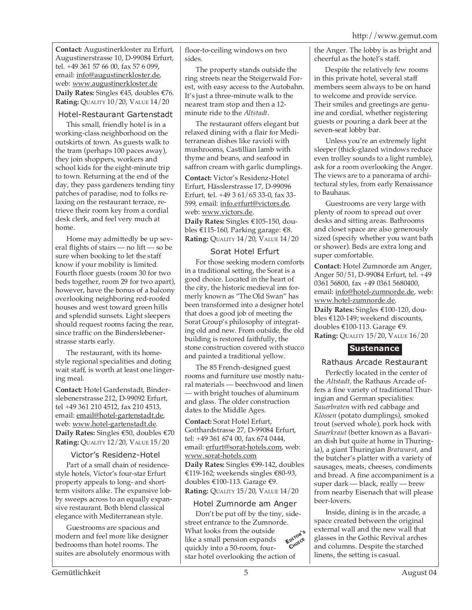**Contact:** Augustinerkloster zu Erfurt, Augustinerstrasse 10, D-99084 Erfurt, tel. +49 361 57 66 00, fax 57 6 099, email: info@augustinerkloster.de, web: www.augustinerkloster.de **Daily Rates:** Singles €45, doubles €76. **Rating:** QUALITY 10/20, VALUE 14/20

# Hotel-Restaurant Gartenstadt

This small, friendly hotel is in a working-class neighborhood on the outskirts of town. As guests walk to the tram (perhaps 100 paces away), they join shoppers, workers and school kids for the eight-minute trip to town. Returning at the end of the day, they pass gardeners tending tiny patches of paradise, nod to folks relaxing on the restaurant terrace, retrieve their room key from a cordial desk clerk, and feel very much at home.

Home may admittedly be up several flights of stairs — no lift — so be sure when booking to let the staff know if your mobility is limited. Fourth floor guests (room 30 for two beds together, room 29 for two apart), however, have the bonus of a balcony overlooking neighboring red-roofed houses and west toward green hills and splendid sunsets. Light sleepers should request rooms facing the rear, since traffic on the Binderslebenerstrasse starts early.

The restaurant, with its homestyle regional specialities and doting wait staff, is worth at least one lingering meal.

**Contact:** Hotel Gardenstadt, Binderslebenerstrasse 212, D-99092 Erfurt, tel +49 361 210 4512, fax 210 4513, email: email@hotel-gartenstadt.de, web: www.hotel-gartenstadt.de. **Daily Rates:** Singles €50, doubles €70 **Rating:** QUALITY 12/20, VALUE 15/20

# Victor's Residenz-Hotel

Part of a small chain of residencestyle hotels, Victor's four-star Erfurt property appeals to long- and shortterm visitors alike. The expansive lobby sweeps across to an equally expansive restaurant. Both blend classical elegance with Mediterranean style.

Guestrooms are spacious and modern and feel more like designer bedrooms than hotel rooms. The suites are absolutely enormous with floor-to-ceiling windows on two sides.

The property stands outside the ring streets near the Steigerwald Forest, with easy access to the Autobahn. It's just a three-minute walk to the nearest tram stop and then a 12 minute ride to the *Altstadt*.

The restaurant offers elegant but relaxed dining with a flair for Mediterranean dishes like ravioli with mushrooms, Castillian lamb with thyme and beans, and seafood in saffron cream with garlic dumplings.

**Contact:** Victor's Residenz-Hotel Erfurt, Hässlerstrasse 17, D-99096 Erfurt, tel. +49 3 61/65 33-0, fax 33- 599, email: info.erfurt@victors.de, web: www.victors.de. **Daily Rates:** Singles €105-150, doubles €115-160, Parking garage: €8. **Rating:** QUALITY 14/20, VALUE 14/20

# Sorat Hotel Erfurt

For those seeking modern comforts in a traditional setting, the Sorat is a good choice. Located in the heart of the city, the historic medieval inn formerly known as "The Old Swan" has been transformed into a designer hotel that does a good job of meeting the Sorat Group's philosophy of integrating old and new. From outside, the old building is restored faithfully, the stone construction covered with stucco and painted a traditional yellow.

The 85 French-designed guest rooms and furniture use mostly natural materials — beechwood and linen — with bright touches of aluminum and glass. The older construction dates to the Middle Ages.

**Contact:** Sorat Hotel Erfurt, Gotthardstrasse 27, D-99084 Erfurt, tel: +49 361 674 00, fax 674 0444, email: erfurt@sorat-hotels.com, web: www.sorat-hotels.com **Daily Rates:** Singles €99-142, doubles €119-162; weekends singles €80-93, doubles €100-113. Garage €9. **Rating:** QUALITY 15/20, VALUE 14/20

# Hotel Zumnorde am Anger

**EDITOR'<sup>S</sup> CHOICE** Don't be put off by the tiny, sidestreet entrance to the Zumnorde. What looks from the outside like a small pension expands quickly into a 50-room, fourstar hotel overlooking the action of

the Anger. The lobby is as bright and cheerful as the hotel's staff.

Despite the relatively few rooms in this private hotel, several staff members seem always to be on hand to welcome and provide service. Their smiles and greetings are genuine and cordial, whether registering guests or pouring a dark beer at the seven-seat lobby bar.

Unless you're an extremely light sleeper (thick-glazed windows reduce even trolley sounds to a light rumble), ask for a room overlooking the Anger. The views are to a panorama of architectural styles, from early Renaissance to Bauhaus.

Guestrooms are very large with plenty of room to spread out over desks and sitting areas. Bathrooms and closet space are also generously sized (specify whether you want bath or shower). Beds are extra long and super comfortable.

**Contact:** Hotel Zumnorde am Anger, Anger 50/51, D-99084 Erfurt, tel. +49 0361 56800, fax +49 0361 5680400, email: info@hotel-zumnorde.de, web: www.hotel-zumnorde.de.

**Daily Rates:** Singles €100-120, doubles €120-149; weekend discounts, doubles €100-113. Garage €9. **Rating:** QUALITY 15/20, VALUE 16/20

# **Sustenance**

# Rathaus Arcade Restaurant

Perfectly located in the center of the *Altstadt,* the Rathaus Arcade offers a fine variety of traditional Thuringian and German specialities: *Sauerbraten* with red cabbage and *Klössen* (potato dumplings), smoked trout (served whole), pork hock with *Sauerkraut* (better known as a Bavarian dish but quite at home in Thuringia), a giant Thuringian *Bratwurst*, and the butcher's platter with a variety of sausages, meats, cheeses, condiments and bread. A fine accompaniment is a super dark — black, really — brew from nearby Eisenach that will please beer-lovers.

Inside, dining is in the arcade, a space created between the original external wall and the new wall that glasses in the Gothic Revival arches and columns. Despite the starched linens, the setting is casual.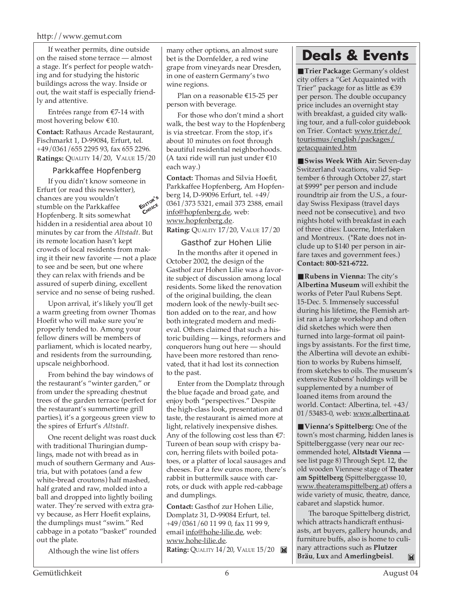### http://www.gemut.com

If weather permits, dine outside on the raised stone terrace — almost a stage. It's perfect for people watching and for studying the historic buildings across the way. Inside or out, the wait staff is especially friendly and attentive.

Entrées range from €7-14 with most hovering below €10.

**Contact:** Rathaus Arcade Restaurant, Fischmarkt 1, D-99084, Erfurt, tel. +49/0361/655 2295 93, fax 655 2296. **Ratings:** QUALITY 14/20, VALUE 15/20

## Parkkaffee Hopfenberg

If you didn't know someone in Erfurt (or read this newsletter), chances are you wouldn't stumble on the Parkkaffee Hopfenberg. It sits somewhat hidden in a residential area about 10 minutes by car from the *Altstadt*. But its remote location hasn't kept crowds of local residents from making it their new favorite — not a place to see and be seen, but one where they can relax with friends and be assured of superb dining, excellent service and no sense of being rushed. **EDITOR'<sup>S</sup> CHOICE**

Upon arrival, it's likely you'll get a warm greeting from owner Thomas Hoefit who will make sure you're properly tended to. Among your fellow diners will be members of parliament, which is located nearby, and residents from the surrounding, upscale neighborhood.

From behind the bay windows of the restaurant's "winter garden," or from under the spreading chestnut trees of the garden terrace (perfect for the restaurant's summertime grill parties), it's a gorgeous green view to the spires of Erfurt's *Altstadt*.

One recent delight was roast duck with traditional Thuringian dumplings, made not with bread as in much of southern Germany and Austria, but with potatoes (and a few white-bread croutons) half mashed, half grated and raw, molded into a ball and dropped into lightly boiling water. They're served with extra gravy because, as Herr Hoefit explains, the dumplings must "swim." Red cabbage in a potato "basket" rounded out the plate.

Although the wine list offers

many other options, an almost sure bet is the Dornfelder, a red wine grape from vineyards near Dresden, in one of eastern Germany's two wine regions.

Plan on a reasonable €15-25 per person with beverage.

For those who don't mind a short walk, the best way to the Hopfenberg is via streetcar. From the stop, it's about 10 minutes on foot through beautiful residential neighborhoods. (A taxi ride will run just under  $\text{\textsterling}10$ each way.)

**Contact:** Thomas and Silvia Hoefit, Parkkaffee Hopfenberg, Am Hopfenberg 14, D-99096 Erfurt, tel. +49/ 0361/373 5321, email 373 2388, email info@hopfenberg.de, web: www.hopfenberg.de. **Rating:** QUALITY 17/20, VALUE 17/20

## Gasthof zur Hohen Lilie

In the months after it opened in October 2002, the design of the Gasthof zur Hohen Lilie was a favorite subject of discussion among local residents. Some liked the renovation of the original building, the clean modern look of the newly-built section added on to the rear, and how both integrated modern and medieval. Others claimed that such a historic building — kings, reformers and conquerors hung out here — should have been more restored than renovated, that it had lost its connection to the past.

Enter from the Domplatz through the blue façade and broad gate, and enjoy both "perspectives." Despite the high-class look, presentation and taste, the restaurant is aimed more at light, relatively inexpensive dishes. Any of the following cost less than  $E$ 7: Tureen of bean soup with crispy bacon, herring filets with boiled potatoes, or a platter of local sausages and cheeses. For a few euros more, there's rabbit in buttermilk sauce with carrots, or duck with apple red-cabbage and dumplings.

**Contact:** Gasthof zur Hohen Lilie, Domplatz 31, D-99084 Erfurt, tel. +49/0361/60 11 99 0, fax 11 99 9, email info@hohe-lilie.de, web: www.hohe-lilie.de. **Rating:** QUALITY 14/20, VALUE 15/20

# **Deals & Events**

■ **Trier Package:** Germany's oldest city offers a "Get Acquainted with Trier" package for as little as €39 per person. The double occupancy price includes an overnight stay with breakfast, a guided city walking tour, and a full-color guidebook on Trier. Contact: www.trier.de/ tourismus/english/packages/ getacquainted.htm

■ **Swiss Week With Air:** Seven-day Switzerland vacations, valid September 6 through October 27, start at \$999\* per person and include roundtrip air from the U.S., a fourday Swiss Flexipass (travel days need not be consecutive), and two nights hotel with breakfast in each of three cities: Lucerne, Interlaken and Montreux. (\*Rate does not include up to \$140 per person in airfare taxes and government fees.) **Contact: 800-521-6722.**

■**Rubens in Vienna:** The city's **Albertina Museum** will exhibit the works of Peter Paul Rubens Sept. 15-Dec. 5. Immensely successful during his lifetime, the Flemish artist ran a large workshop and often did sketches which were then turned into large-format oil paintings by assistants. For the first time, the Albertina will devote an exhibition to works by Rubens himself, from sketches to oils. The museum's extensive Rubens' holdings will be supplemented by a number of loaned items from around the world. Contact: Albertina, tel. +43/ 01/53483-0, web: www.albertina.at.

■ **Vienna's Spittelberg:** One of the town's most charming, hidden lanes is Spittelberggasse (very near our recommended hotel, **Altstadt Vienna** see list page 8) Through Sept. 12, the old wooden Viennese stage of **Theater am Spittelberg** (Spittelberggasse 10, www.theateramspittelberg.at) offers a wide variety of music, theatre, dance, cabaret and slapstick humor.

The baroque Spittelberg district, which attracts handicraft enthusiasts, art buyers, gallery hounds, and furniture buffs, also is home to culinary attractions such as **Plutzer Bräu**, **Lux** and **Amerlingbeisl**.  $\mathbb{M}$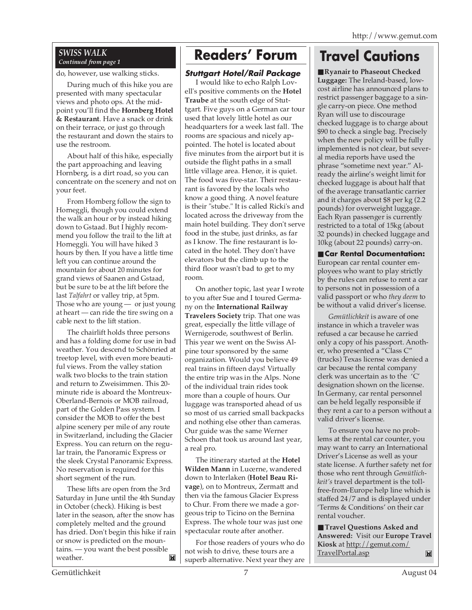# *SWISS WALK*

do, however, use walking sticks.

During much of this hike you are presented with many spectacular views and photo ops. At the midpoint you'll find the **Hornberg Hotel & Restaurant**. Have a snack or drink on their terrace, or just go through the restaurant and down the stairs to use the restroom.

About half of this hike, especially the part approaching and leaving Hornberg, is a dirt road, so you can concentrate on the scenery and not on your feet.

From Hornberg follow the sign to Horneggli, though you could extend the walk an hour or by instead hiking down to Gstaad. But I highly recommend you follow the trail to the lift at Horneggli. You will have hiked 3 hours by then. If you have a little time left you can continue around the mountain for about 20 minutes for grand views of Saanen and Gstaad, but be sure to be at the lift before the last *Talfahrt* or valley trip, at 5pm. Those who are young — or just young at heart — can ride the tire swing on a cable next to the lift station.

The chairlift holds three persons and has a folding dome for use in bad weather. You descend to Schönried at treetop level, with even more beautiful views. From the valley station walk two blocks to the train station and return to Zweisimmen. This 20 minute ride is aboard the Montreux-Oberland-Bernois or MOB railroad, part of the Golden Pass system. I consider the MOB to offer the best alpine scenery per mile of any route in Switzerland, including the Glacier Express. You can return on the regular train, the Panoramic Express or the sleek Crystal Panoramic Express. No reservation is required for this short segment of the run.

These lifts are open from the 3rd Saturday in June until the 4th Sunday in October (check). Hiking is best later in the season, after the snow has completely melted and the ground has dried. Don't begin this hike if rain or snow is predicted on the mountains. — you want the best possible weather. M

# **Readers' Forum**

# **Stuttgart Hotel/Rail Package**

I would like to echo Ralph Lovell's positive comments on the **Hotel Traube** at the south edge of Stuttgart. Five guys on a German car tour used that lovely little hotel as our headquarters for a week last fall. The rooms are spacious and nicely appointed. The hotel is located about five minutes from the airport but it is outside the flight paths in a small little village area. Hence, it is quiet. The food was five-star. Their restaurant is favored by the locals who know a good thing. A novel feature is their "stube." It is called Ricki's and located across the driveway from the main hotel building. They don't serve food in the stube, just drinks, as far as I know. The fine restaurant is located in the hotel. They don't have elevators but the climb up to the third floor wasn't bad to get to my room.

On another topic, last year I wrote to you after Sue and I toured Germany on the **International Railway Travelers Society** trip. That one was great, especially the little village of Wernigerode, southwest of Berlin. This year we went on the Swiss Alpine tour sponsored by the same organization. Would you believe 49 real trains in fifteen days! Virtually the entire trip was in the Alps. None of the individual train rides took more than a couple of hours. Our luggage was transported ahead of us so most of us carried small backpacks and nothing else other than cameras. Our guide was the same Werner Schoen that took us around last year, a real pro.

The itinerary started at the **Hotel Wilden Mann** in Lucerne, wandered down to Interlaken (**Hotel Beau Rivage**), on to Montreux, Zermatt and then via the famous Glacier Express to Chur. From there we made a gorgeous trip to Ticino on the Bernina Express. The whole tour was just one spectacular route after another.

For those readers of yours who do not wish to drive, these tours are a superb alternative. Next year they are

# **EXVISS WALK** Continued from page 1

■ **Ryanair to Phaseout Checked Luggage:** The Ireland-based, lowcost airline has announced plans to restrict passenger baggage to a single carry-on piece. One method Ryan will use to discourage checked luggage is to charge about \$90 to check a single bag. Precisely when the new policy will be fully implemented is not clear, but several media reports have used the phrase "sometime next year." Already the airline's weight limit for checked luggage is about half that of the average transatlantic carrier and it charges about \$8 per kg (2.2 pounds) for overweight luggage. Each Ryan passenger is currently restricted to a total of 15kg (about 32 pounds) in checked luggage and 10kg (about 22 pounds) carry-on.

■ **Car Rental Documentation:** European car rental counter employees who want to play strictly by the rules can refuse to rent a car to persons not in possession of a valid passport or who *they deem* to be without a valid driver's license.

*Gemütlichkeit* is aware of one instance in which a traveler was refused a car because he carried only a copy of his passport. Another, who presented a "Class C" (trucks) Texas license was denied a car because the rental company clerk was uncertain as to the 'C' designation shown on the license. In Germany, car rental personnel can be held legally responsible if they rent a car to a person without a valid driver's license.

To ensure you have no problems at the rental car counter, you may want to carry an International Driver's License as well as your state license. A further safety net for those who rent through *Gemütlichkeit's* travel department is the tollfree-from-Europe help line which is staffed 24/7 and is displayed under 'Terms & Conditions' on their car rental voucher.

■ **Travel Questions Asked and Answered:** Visit our **Europe Travel Kiosk** at http://gemut.com/ TravelPortal.asp $\mathbf{M}$